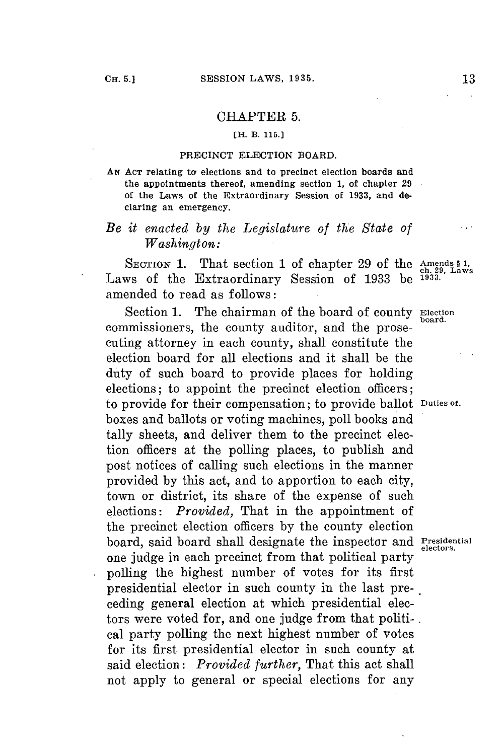## CHAPTER **5.**

## **[H. B. 115.1**

## **PRECINCT ELECTION BOARD.**

**AN ACT relating to elections and to precinct election boards and the appointments thereof, amending section 1, of chapter 29 of the Laws of the Extraordinary Session of 1933, and declaring an emergency.**

## *Be it enacted by the Legislature of the State of Washington:*

SECTION 1. That section 1 of chapter 29 of the Amends  $\frac{1}{2}$ , Laws Laws of the Extraordinary Session of **1933** be **1933.** amended to read as follows:

Section **1.** The chairman of the board of county **Election** commissioners, the county auditor, and the prosecuting attorney in each county, shall constitute the election board for all elections and it shall be the duty of such board to provide places for holding elections; to appoint the precinct election officers; to provide for their compensation; to provide ballot **Duties of.** boxes and ballots or voting machines, poll books and tally sheets, and deliver them to the precinct election officers at the polling places, to publish and post notices of calling such elections in the manner provided **by** this act, and to apportion to each city, town or district, its share of the expense of such elections: *Provided,* That in the appointment of the precinct election officers **by** the county election board, said board shall designate the inspector and **Presidential** one judge in each precinct from that political party polling the highest number of votes for its first presidential elector in such county in the last preceding general election at which presidential electors were voted for, and one **judge** from that politi- **.** cal party polling the next highest number of votes for its first presidential elector in such county at said election: *Provided further,* That this act shall not apply to general or special elections for any

 $\cdots$